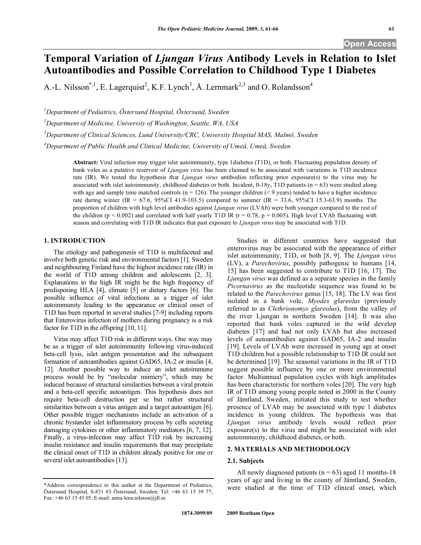# **Temporal Variation of** *Ljungan Virus* **Antibody Levels in Relation to Islet Autoantibodies and Possible Correlation to Childhood Type 1 Diabetes**

A.-L. Nilsson<sup>\*,1</sup>, E. Lagerquist<sup>2</sup>, K.F. Lynch<sup>3</sup>, Å. Lernmark<sup>2,3</sup> and O. Rolandsson<sup>4</sup>

*1 Department of Pediatrics, Östersund Hospital, Östersund, Sweden* 

*2 Department of Medicine, University of Washington, Seattle, WA, USA* 

*3 Department of Clinical Sciences, Lund University/CRC, University Hospital MAS, Malmö, Sweden* 

*4 Department of Public Health and Clinical Medicine, University of Umeå, Umeå, Sweden* 

**Abstract:** Viral infection may trigger islet autoimmunity, type 1diabetes (T1D), or both. Fluctuating population density of bank voles as a putative reservoir of *Ljungan virus* has been claimed to be associated with variations in T1D incidence rate (IR). We tested the hypothesis that *Ljungan virus* antibodies reflecting prior exposure(s) to the virus may be associated with islet autoimmunity, childhood diabetes or both. Incident,  $0-18y$ , T1D patients ( $n = 63$ ) were studied along with age and sample time matched controls ( $n = 126$ ). The younger children ( $\leq 9$  years) tended to have a higher incidence rate during winter (IR = 67.6, 95%CI 41.9-103.5) compared to summer (IR = 33.6, 95%CI 15.3-63.9) months. The proportion of children with high level antibodies against *Ljungan virus* (LVAb) were both younger compared to the rest of the children (p < 0.002) and correlated with half yearly T1D IR ( $r = 0.78$ ,  $p = 0.005$ ). High level LVAb fluctuating with season and correlating with T1D IR indicates that past exposure to *Ljungan virus* may be associated with T1D.

# **1. INTRODUCTION**

 The etiology and pathogenesis of T1D is multifaceted and involve both genetic risk and environmental factors [1]. Sweden and neighbouring Finland have the highest incidence rate (IR) in the world of T1D among children and adolescents [2, 3]. Explanations to the high IR might be the high frequency of predisposing HLA [4], climate [5] or dietary factors [6]. The possible influence of viral infections as a trigger of islet autoimmunity leading to the appearance or clinical onset of T1D has been reported in several studies [7-9] including reports that Enterovirus infection of mothers during pregnancy is a risk factor for T1D in the offspring [10, 11].

 Virus may affect T1D risk in different ways. One way may be as a trigger of islet autoimmunity following virus-induced beta-cell lysis, islet antigen presentation and the subsequent formation of autoantibodies against GAD65, IA-2 or insulin [4, 12]. Another possible way to induce an islet autoimmune process would be by "molecular mimicry", which may be induced because of structural similarities between a viral protein and a beta-cell specific autoantigen. This hypothesis does not require beta-cell destruction per se but rather structural similarities between a virus antigen and a target autoantigen [6]. Other possible trigger mechanisms include an activation of a chronic bystander islet inflammatory process by cells secreting damaging cytokines or other inflammatory mediators [6, 7, 12]. Finally, a virus-infection may affect T1D risk by increasing insulin resistance and insulin requirements that may precipitate the clinical onset of T1D in children already positive for one or several islet autoantibodies [13].

\*Address correspondence to this author at the Department of Pediatrics, Östersund Hospital, S-831 83 Östersund, Sweden; Tel: +46 63 15 39 77; Fax:  $+4663154505$ ; E-mail: anna-lena.nilsson@jll.se

 Studies in different countries have suggested that enterovirus may be associated with the appearance of either islet autoimmunity, T1D, or both [8, 9]. The *Ljungan virus* (LV), a *Parechovirus*, possibly pathogenic to humans [14, 15] has been suggested to contribute to T1D [16, 17]. The *Ljungan virus* was defined as a separate species in the family *Picornavirus* as the nucleotide sequence was found to be related to the *Parechovirus* genus [15, 18]. The LV was first isolated in a bank vole, *Myodes glareolus* (previously referred to as *Clethrionomys glareolus*), from the valley of the river Ljungan in northern Sweden [14]. It was also reported that bank voles captured in the wild develop diabetes [17] and had not only LVAb but also increased levels of autoantibodies against GAD65, IA-2 and insulin [19]. Levels of LVAb were increased in young age at onset T1D children but a possible relationship to T1D IR could not be determined [19]. The seasonal variations in the IR of T1D suggest possible influence by one or more environmental factor. Multiannual population cycles with high amplitudes has been characteristic for northern voles [20]. The very high IR of T1D among young people noted in 2000 in the County of Jämtland, Sweden, initiated this study to test whether presence of LVAb may be associated with type 1 diabetes incidence in young children. The hypothesis was that *Ljungan virus* antibody levels would reflect prior exposure(s) to the virus and might be associated with islet autoimmunity, childhood diabetes, or both.

# **2. MATERIALS AND METHODOLOGY**

# **2.1. Subjects**

All newly diagnosed patients ( $n = 63$ ) aged 11 months-18 years of age and living in the county of Jämtland, Sweden, were studied at the time of T1D clinical onset, which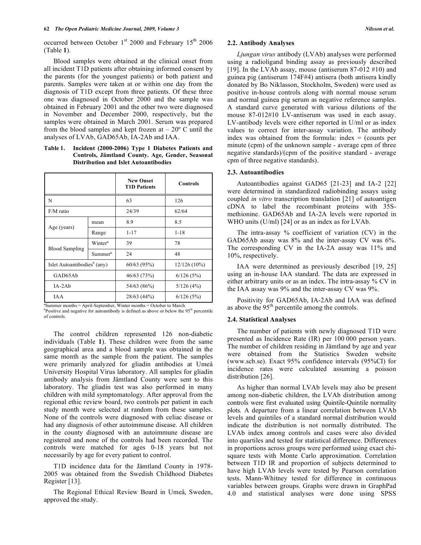occurred between October  $1<sup>st</sup>$  2000 and February  $15<sup>th</sup>$  2006 (Table **1**).

 Blood samples were obtained at the clinical onset from all incident T1D patients after obtaining informed consent by the parents (for the youngest patients) or both patient and parents. Samples were taken at or within one day from the diagnosis of T1D except from three patients. Of these three one was diagnosed in October 2000 and the sample was obtained in February 2001 and the other two were diagnosed in November and December 2000, respectively, but the samples were obtained in March 2001. Serum was prepared from the blood samples and kept frozen at  $-20^{\circ}$  C until the analyses of LVAb, GAD65Ab, IA-2Ab and IAA.

**Table 1. Incident (2000-2006) Type 1 Diabetes Patients and Controls, Jämtland County. Age, Gender, Seasonal Distribution and Islet Autoantibodies** 

|                                         |                     | <b>New Onset</b><br><b>T1D Patients</b> | <b>Controls</b> |  |
|-----------------------------------------|---------------------|-----------------------------------------|-----------------|--|
| N                                       |                     | 63                                      | 126             |  |
| F/M ratio                               |                     | 24/39                                   | 62/64           |  |
| Age (years)                             | mean                | 8.9                                     | 8.5             |  |
|                                         | Range               | $1 - 17$                                | $1 - 18$        |  |
| <b>Blood Sampling</b>                   | Winter <sup>a</sup> | 39                                      | 78              |  |
|                                         | Summer <sup>a</sup> | 24                                      | 48              |  |
| Islet Autoantibodies <sup>b</sup> (any) |                     | 60/63 (95%)                             | $12/126(10\%)$  |  |
| GAD65Ab                                 |                     | 46/63 (73%)                             | 6/126(5%)       |  |
| $IA-2Ab$                                |                     | 54/63 (86%)                             | 5/126(4%)       |  |
| <b>IAA</b>                              |                     | 28/63 (44%)                             | 6/126(5%)       |  |

ªSummer months = April-September, Winter months = October to March. <sup>b</sup>Positive and negative for autoantibody is defined as above or below the 95<sup>th</sup> percentile of controls.

 The control children represented 126 non-diabetic individuals (Table **1**). These children were from the same geographical area and a blood sample was obtained in the same month as the sample from the patient. The samples were primarily analyzed for gliadin antibodies at Umeå University Hospital Virus laboratory. All samples for gliadin antibody analysis from Jämtland County were sent to this laboratory. The gliadin test was also performed in many children with mild symptomatology. After approval from the regional ethic review board, two controls per patient in each study month were selected at random from these samples. None of the controls were diagnosed with celiac disease or had any diagnosis of other autoimmune disease. All children in the county diagnosed with an autoimmune disease are registered and none of the controls had been recorded. The controls were matched for ages 0-18 years but not necessarily by age for every patient to control.

 T1D incidence data for the Jämtland County in 1978- 2005 was obtained from the Swedish Childhood Diabetes Register [13].

 The Regional Ethical Review Board in Umeå, Sweden, approved the study.

#### **2.2. Antibody Analyses**

*Ljungan virus* antibody (LVAb) analyses were performed using a radioligand binding assay as previously described [19]. In the LVAb assay, mouse (antiserum 87-012  $\#10$ ) and guinea pig (antiserum 174F#4) antisera (both antisera kindly donated by Bo Niklasson, Stockholm, Sweden) were used as positive in-house controls along with normal mouse serum and normal guinea pig serum as negative reference samples. A standard curve generated with various dilutions of the mouse 87-012#10 LV-antiserum was used in each assay. LV-antibody levels were either reported in U/ml or as index values to correct for inter-assay variation. The antibody index was obtained from the formula: index  $=$  (counts per minute (cpm) of the unknown sample - average cpm of three negative standards)/(cpm of the positive standard - average cpm of three negative standards).

#### **2.3. Autoantibodies**

 Autoantibodies against GAD65 [21-23] and IA-2 [22] were determined in standardized radiobinding assays using coupled *in vitro* transcription translation [21] of autoantigen cDNA to label the recombinant proteins with 35Smethionine. GAD65Ab and IA-2A levels were reported in WHO units (U/ml) [24] or as an index as for LVAb.

 The intra-assay % coefficient of variation (CV) in the GAD65Ab assay was 8% and the inter-assay CV was 6%. The corresponding CV in the IA-2A assay was 11% and 10%, respectively.

 IAA were determined as previously described [19, 25] using an in-house IAA standard. The data are expressed in either arbitrary units or as an index. The intra-assay % CV in the IAA assay was 9% and the inter-assay CV was 9%.

 Positivity for GAD65Ab, IA-2Ab and IAA was defined as above the  $95<sup>th</sup>$  percentile among the controls.

#### **2.4. Statistical Analyses**

 The number of patients with newly diagnosed T1D were presented as Incidence Rate (IR) per 100 000 person years. The number of children residing in Jämtland by age and year were obtained from the Statistics Sweden website (www.scb.se). Exact 95% confidence intervals (95%CI) for incidence rates were calculated assuming a poisson distribution [26].

 As higher than normal LVAb levels may also be present among non-diabetic children, the LVAb distribution among controls were first evaluated using Quintile-Quintile normality plots. A departure from a linear correlation between LVAb levels and quintiles of a standard normal distribution would indicate the distribution is not normally distributed. The LVAb index among controls and cases were also divided into quartiles and tested for statistical difference. Differences in proportions across groups were performed using exact chisquare tests with Monte Carlo approximation. Correlation between T1D IR and proportion of subjects determined to have high LVAb levels were tested by Pearson correlation tests. Mann-Whitney tested for difference in continuous variables between groups. Graphs were drawn in GraphPad 4.0 and statistical analyses were done using SPSS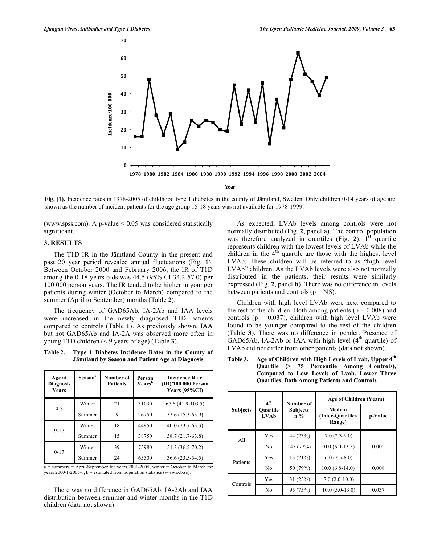

**Fig. (1).** Incidence rates in 1978-2005 of childhood type 1 diabetes in the county of Jämtland, Sweden. Only children 0-14 years of age are shown as the number of incident patients for the age group 15-18 years was not available for 1978-1999.

(www.spss.com). A p-value  $\leq 0.05$  was considered statistically significant.

### **3. RESULTS**

 The T1D IR in the Jämtland County in the present and past 20 year period revealed annual fluctuations (Fig. **1**). Between October 2000 and February 2006, the IR of T1D among the 0-18 years olds was 44.5 (95% CI 34.2-57.0) per 100 000 person years. The IR tended to be higher in younger patients during winter (October to March) compared to the summer (April to September) months (Table **2**).

 The frequency of GAD65Ab, IA-2Ab and IAA levels were increased in the newly diagnosed T1D patients compared to controls (Table **1**). As previously shown, IAA but not GAD65Ab and IA-2A was observed more often in young T1D children (< 9 years of age) (Table **3**).

## **Table 2. Type 1 Diabetes Incidence Rates in the County of Jämtland by Season and Patient Age at Diagnosis**

| Age at<br><b>Diagnosis</b><br><b>Years</b> | Season <sup>a</sup> | Number of<br><b>Patients</b> | Person<br>Years <sup>b</sup> | <b>Incidence Rate</b><br>(IR)/100 000 Person<br>Years $(95\%CI)$ |
|--------------------------------------------|---------------------|------------------------------|------------------------------|------------------------------------------------------------------|
| $0 - 8$                                    | Winter              | 21                           | 31030                        | $67.6(41.9-103.5)$                                               |
|                                            | Summer              | 9                            | 26750                        | 33.6 (15.3-63.9)                                                 |
| $9 - 17$                                   | Winter              | 18                           | 44950                        | $40.0(23.7-63.3)$                                                |
|                                            | Summer              | 15                           | 38750                        | 38.7 (21.7-63.8)                                                 |
| $0 - 17$                                   | Winter              | 39                           | 75980                        | 51.3 (36.5-70.2)                                                 |
|                                            | Summer              | 24                           | 65500                        | $36.6(23.5-54.5)$                                                |

a = summers = April-September for years 2001-2005, winter = October to March for years  $2000/1 - 2005/6$ , b = estimated from population statistics (www.scb.se).

 There was no difference in GAD65Ab, IA-2Ab and IAA distribution between summer and winter months in the T1D children (data not shown).

 As expected, LVAb levels among controls were not normally distributed (Fig. **2**, panel **a**). The control population was therefore analyzed in quartiles (Fig.  $2$ ). 1<sup>st</sup> quartile represents children with the lowest levels of LVAb while the children in the  $4<sup>th</sup>$  quartile are those with the highest level LVAb. These children will be referred to as "high level LVAb" children. As the LVAb levels were also not normally distributed in the patients, their results were similarly expressed (Fig. **2**, panel **b**). There was no difference in levels between patients and controls ( $p = NS$ ).

 Children with high level LVAb were next compared to the rest of the children. Both among patients ( $p = 0.008$ ) and controls ( $p = 0.037$ ), children with high level LVAb were found to be younger compared to the rest of the children (Table **3**). There was no difference in gender. Presence of GAD65Ab, IA-2Ab or IAA with high level  $(4<sup>th</sup>$  quartile) of LVAb did not differ from other patients (data not shown).

|                 | 4 <sup>th</sup>         | Number of                | Age of Children (Years)              |         |  |
|-----------------|-------------------------|--------------------------|--------------------------------------|---------|--|
| <b>Subjects</b> | Ouartile<br><b>LVAb</b> | <b>Subjects</b><br>$n\%$ | Median<br>(Inter-Ouartiles<br>Range) | p-Value |  |
| A11             | Yes                     | 44 (23%)                 | $7.0(2.3-9.0)$                       |         |  |
|                 | No                      | 145 (77%)                | $10.0(6.0-13.5)$                     | 0.002   |  |
| Patients        | Yes                     | 13(21%)                  | $6.0(2.5-8.0)$                       |         |  |
|                 | No                      | 50 (79%)                 | $10.0(6.8-14.0)$                     | 0.008   |  |
| Controls        | Yes                     | 31(25%)                  | $7.0(2.0-10.0)$                      |         |  |
|                 | No                      | 95 (75%)                 | $10.0 (5.0 - 13.0)$                  | 0.037   |  |

**Table 3. Age of Children with High Levels of Lvab, Upper 4th Quartile (> 75 Percentile Among Controls), Compared to Low Levels of Lvab, Lower Three Quartiles, Both Among Patients and Controls**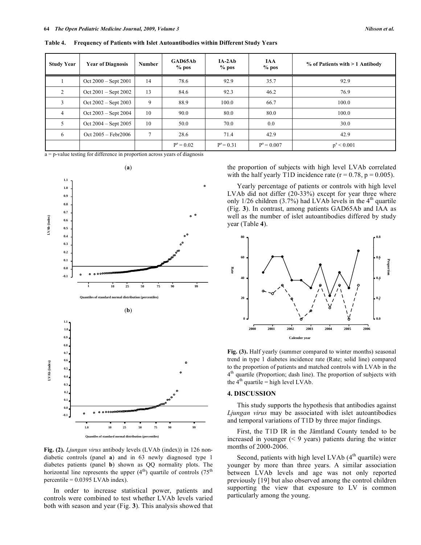**Table 4. Frequency of Patients with Islet Autoantibodies within Different Study Years** 

| <b>Study Year</b> | <b>Year of Diagnosis</b> | <b>Number</b>  | GAD65Ab<br>$%$ pos | $IA-2Ab$<br>$%$ pos | <b>IAA</b><br>$%$ pos | % of Patients with > 1 Antibody |
|-------------------|--------------------------|----------------|--------------------|---------------------|-----------------------|---------------------------------|
|                   | $Oct 2000 - Sept 2001$   | 14             | 78.6               | 92.9                | 35.7                  | 92.9                            |
| 2                 | $Oct 2001 - Sept 2002$   | 13             | 84.6               | 92.3                | 46.2                  | 76.9                            |
| 3                 | $Oct 2002 - Sept 2003$   | 9              | 88.9               | 100.0               | 66.7                  | 100.0                           |
| $\overline{4}$    | $Oct 2003 - Sept 2004$   | 10             | 90.0               | 80.0                | 80.0                  | 100.0                           |
| 5                 | $Oct 2004 - Sept 2005$   | 10             | 50.0               | 70.0                | 0.0                   | 30.0                            |
| 6                 | $Oct 2005 - Febr2006$    | $\overline{7}$ | 28.6               | 71.4                | 42.9                  | 42.9                            |
|                   |                          |                | $P^a = 0.02$       | $P^a = 0.31$        | $P^a = 0.007$         | $p^a < 0.001$                   |

 $a = p$ -value testing for difference in proportion across years of diagnosis



**Fig. (2).** *Ljungan virus* antibody levels (LVAb (index)) in 126 nondiabetic controls (panel **a**) and in 63 newly diagnosed type 1 diabetes patients (panel **b**) shown as QQ normality plots. The horizontal line represents the upper  $(4<sup>th</sup>)$  quartile of controls  $(75<sup>th</sup>)$ percentile = 0.0395 LVAb index).

 In order to increase statistical power, patients and controls were combined to test whether LVAb levels varied both with season and year (Fig. **3**). This analysis showed that the proportion of subjects with high level LVAb correlated with the half yearly T1D incidence rate  $(r = 0.78, p = 0.005)$ .

 Yearly percentage of patients or controls with high level LVAb did not differ (20-33%) except for year three where only  $1/26$  children  $(3.7%)$  had LVAb levels in the 4<sup>th</sup> quartile (Fig. **3**). In contrast, among patients GAD65Ab and IAA as well as the number of islet autoantibodies differed by study year (Table **4**).



**Fig. (3).** Half yearly (summer compared to winter months) seasonal trend in type 1 diabetes incidence rate (Rate; solid line) compared to the proportion of patients and matched controls with LVAb in the  $4<sup>th</sup>$  quartile (Proportion; dash line). The proportion of subjects with the  $4<sup>th</sup>$  quartile = high level LVAb.

#### **4. DISCUSSION**

 This study supports the hypothesis that antibodies against *Ljungan virus* may be associated with islet autoantibodies and temporal variations of T1D by three major findings.

 First, the T1D IR in the Jämtland County tended to be increased in younger  $($  < 9 years) patients during the winter months of 2000-2006.

Second, patients with high level LVAb  $(4<sup>th</sup>$  quartile) were younger by more than three years. A similar association between LVAb levels and age was not only reported previously [19] but also observed among the control children supporting the view that exposure to LV is common particularly among the young.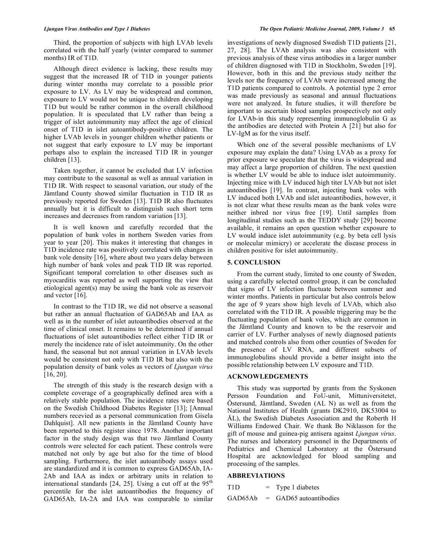Third, the proportion of subjects with high LVAb levels correlated with the half yearly (winter compared to summer months) IR of T1D.

 Although direct evidence is lacking, these results may suggest that the increased IR of T1D in younger patients during winter months may correlate to a possible prior exposure to LV. As LV may be widespread and common, exposure to LV would not be unique to children developing T1D but would be rather common in the overall childhood population. It is speculated that LV rather than being a trigger of islet autoimmunity may affect the age of clinical onset of T1D in islet autoantibody-positive children. The higher LVAb levels in younger children whether patients or not suggest that early exposure to LV may be important perhaps also to explain the increased T1D IR in younger children [13].

 Taken together, it cannot be excluded that LV infection may contribute to the seasonal as well as annual variation in T1D IR. With respect to seasonal variation, our study of the Jämtland County showed similar fluctuation in T1D IR as previously reported for Sweden [13]. T1D IR also fluctuates annually but it is difficult to distinguish such short term increases and decreases from random variation [13].

 It is well known and carefully recorded that the population of bank voles in northern Sweden varies from year to year [20]. This makes it interesting that changes in T1D incidence rate was positively correlated with changes in bank vole density [16], where about two years delay between high number of bank voles and peak T1D IR was reported. Significant temporal correlation to other diseases such as myocarditis was reported as well supporting the view that etiological agent(s) may be using the bank vole as reservoir and vector [16].

 In contrast to the T1D IR, we did not observe a seasonal but rather an annual fluctuation of GAD65Ab and IAA as well as in the number of islet autoantibodies observed at the time of clinical onset. It remains to be determined if annual fluctuations of islet autoantibodies reflect either T1D IR or merely the incidence rate of islet autoimmunity. On the other hand, the seasonal but not annual variation in LVAb levels would be consistent not only with T1D IR but also with the population density of bank voles as vectors of *Ljungan virus* [16, 20].

 The strength of this study is the research design with a complete coverage of a geographically defined area with a relatively stable population. The incidence rates were based on the Swedish Childhood Diabetes Register [13]; [Annual numbers recevied as a personal communication from Gisela Dahlquist]. All new patients in the Jämtland County have been reported to this register since 1978. Another important factor in the study design was that two Jämtland County controls were selected for each patient. These controls were matched not only by age but also for the time of blood sampling. Furthermore, the islet autoantibody assays used are standardized and it is common to express GAD65Ab, IA-2Ab and IAA as index or arbitrary units in relation to international standards  $[24, 25]$ . Using a cut off at the  $95<sup>th</sup>$ percentile for the islet autoantibodies the frequency of GAD65Ab, IA-2A and IAA was comparable to similar

investigations of newly diagnosed Swedish T1D patients [21, 27, 28]. The LVAb analysis was also consistent with previous analysis of these virus antibodies in a larger number of children diagnosed with T1D in Stockholm, Sweden [19]. However, both in this and the previous study neither the levels nor the frequency of LVAb were increased among the T1D patients compared to controls. A potential type 2 error was made previously as seasonal and annual fluctuations were not analyzed. In future studies, it will therefore be important to ascertain blood samples prospectively not only for LVAb-in this study representing immunoglobulin G as the antibodies are detected with Protein A [21] but also for LV-IgM as for the virus itself.

 Which one of the several possible mechanisms of LV exposure may explain the data? Using LVAb as a proxy for prior exposure we speculate that the virus is widespread and may affect a large proportion of children. The next question is whether LV would be able to induce islet autoimmunity. Injecting mice with LV induced high titer LVAb but not islet autoantibodies [19]. In contrast, injecting bank voles with LV induced both LVAb and islet autoantibodies, however, it is not clear what these results mean as the bank voles were neither inbred nor virus free [19]. Until samples from longitudinal studies such as the TEDDY study [29] become available, it remains an open question whether exposure to LV would induce islet autoimmunity (e.g. by beta cell lysis or molecular mimicry) or accelerate the disease process in children positive for islet autoimmunity.

#### **5. CONCLUSION**

 From the current study, limited to one county of Sweden, using a carefully selected control group, it can be concluded that signs of LV infection fluctuate between summer and winter months. Patients in particular but also controls below the age of 9 years show high levels of LVAb, which also correlated with the T1D IR. A possible triggering may be the fluctuating population of bank voles, which are common in the Jämtland County and known to be the reservoir and carrier of LV. Further analyses of newly diagnosed patients and matched controls also from other counties of Sweden for the presence of LV RNA, and different subsets of immunoglobulins should provide a better insight into the possible relationship between LV exposure and T1D.

## **ACKNOWLEDGEMENTS**

 This study was supported by grants from the Syskonen Persson Foundation and FoU-unit, Mittuniversitetet, Östersund, Jämtland, Sweden (AL N) as well as from the National Institutes of Health (grants DK2910, DK53004 to ÅL), the Swedish Diabetes Association and the Roberth H Williams Endowed Chair. We thank Bo Niklasson for the gift of mouse and guinea-pig antisera against *Ljungan virus*. The nurses and laboratory personnel in the Departments of Pediatrics and Chemical Laboratory at the Östersund Hospital are acknowledged for blood sampling and processing of the samples.

#### **ABBREVIATIONS**

 $T1D = Type 1 diabetes$ 

GAD65Ab = GAD65 autoantibodies